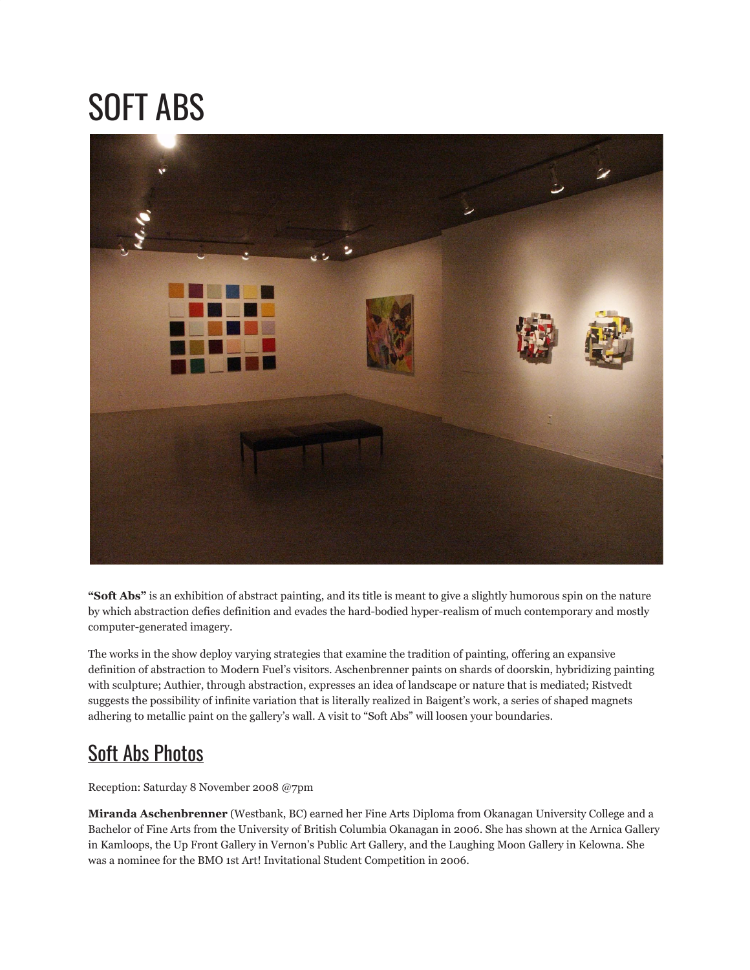## SOFT ABS



**"Soft Abs"** is an exhibition of abstract painting, and its title is meant to give a slightly humorous spin on the nature by which abstraction defies definition and evades the hard-bodied hyper-realism of much contemporary and mostly computer-generated imagery.

The works in the show deploy varying strategies that examine the tradition of painting, offering an expansive definition of abstraction to Modern Fuel's visitors. Aschenbrenner paints on shards of doorskin, hybridizing painting with sculpture; Authier, through abstraction, expresses an idea of landscape or nature that is mediated; Ristvedt suggests the possibility of infinite variation that is literally realized in Baigent's work, a series of shaped magnets adhering to metallic paint on the gallery's wall. A visit to "Soft Abs" will loosen your boundaries.

## Soft Abs [Photos](http://www.flickr.com/photos/modernfuel/sets/72157614727615839/)

Reception: Saturday 8 November 2008 @7pm

**Miranda Aschenbrenner** (Westbank, BC) earned her Fine Arts Diploma from Okanagan University College and a Bachelor of Fine Arts from the University of British Columbia Okanagan in 2006. She has shown at the Arnica Gallery in Kamloops, the Up Front Gallery in Vernon's Public Art Gallery, and the Laughing Moon Gallery in Kelowna. She was a nominee for the BMO 1st Art! Invitational Student Competition in 2006.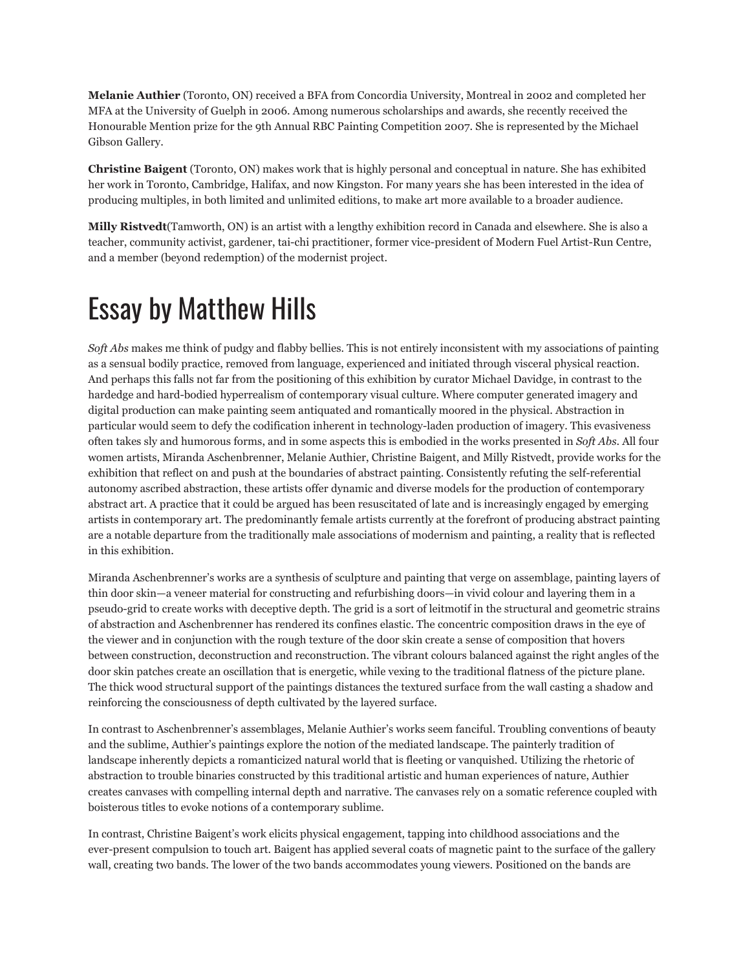**Melanie Authier** (Toronto, ON) received a BFA from Concordia University, Montreal in 2002 and completed her MFA at the University of Guelph in 2006. Among numerous scholarships and awards, she recently received the Honourable Mention prize for the 9th Annual RBC Painting Competition 2007. She is represented by the Michael Gibson Gallery.

**Christine Baigent** (Toronto, ON) makes work that is highly personal and conceptual in nature. She has exhibited her work in Toronto, Cambridge, Halifax, and now Kingston. For many years she has been interested in the idea of producing multiples, in both limited and unlimited editions, to make art more available to a broader audience.

**Milly Ristvedt**(Tamworth, ON) is an artist with a lengthy exhibition record in Canada and elsewhere. She is also a teacher, community activist, gardener, tai-chi practitioner, former vice-president of Modern Fuel Artist-Run Centre, and a member (beyond redemption) of the modernist project.

## Essay by Matthew Hills

*Soft Abs* makes me think of pudgy and flabby bellies. This is not entirely inconsistent with my associations of painting as a sensual bodily practice, removed from language, experienced and initiated through visceral physical reaction. And perhaps this falls not far from the positioning of this exhibition by curator Michael Davidge, in contrast to the hardedge and hard-bodied hyperrealism of contemporary visual culture. Where computer generated imagery and digital production can make painting seem antiquated and romantically moored in the physical. Abstraction in particular would seem to defy the codification inherent in technology-laden production of imagery. This evasiveness often takes sly and humorous forms, and in some aspects this is embodied in the works presented in *Soft Abs*. All four women artists, Miranda Aschenbrenner, Melanie Authier, Christine Baigent, and Milly Ristvedt, provide works for the exhibition that reflect on and push at the boundaries of abstract painting. Consistently refuting the self-referential autonomy ascribed abstraction, these artists offer dynamic and diverse models for the production of contemporary abstract art. A practice that it could be argued has been resuscitated of late and is increasingly engaged by emerging artists in contemporary art. The predominantly female artists currently at the forefront of producing abstract painting are a notable departure from the traditionally male associations of modernism and painting, a reality that is reflected in this exhibition.

Miranda Aschenbrenner's works are a synthesis of sculpture and painting that verge on assemblage, painting layers of thin door skin—a veneer material for constructing and refurbishing doors—in vivid colour and layering them in a pseudo-grid to create works with deceptive depth. The grid is a sort of leitmotif in the structural and geometric strains of abstraction and Aschenbrenner has rendered its confines elastic. The concentric composition draws in the eye of the viewer and in conjunction with the rough texture of the door skin create a sense of composition that hovers between construction, deconstruction and reconstruction. The vibrant colours balanced against the right angles of the door skin patches create an oscillation that is energetic, while vexing to the traditional flatness of the picture plane. The thick wood structural support of the paintings distances the textured surface from the wall casting a shadow and reinforcing the consciousness of depth cultivated by the layered surface.

In contrast to Aschenbrenner's assemblages, Melanie Authier's works seem fanciful. Troubling conventions of beauty and the sublime, Authier's paintings explore the notion of the mediated landscape. The painterly tradition of landscape inherently depicts a romanticized natural world that is fleeting or vanquished. Utilizing the rhetoric of abstraction to trouble binaries constructed by this traditional artistic and human experiences of nature, Authier creates canvases with compelling internal depth and narrative. The canvases rely on a somatic reference coupled with boisterous titles to evoke notions of a contemporary sublime.

In contrast, Christine Baigent's work elicits physical engagement, tapping into childhood associations and the ever-present compulsion to touch art. Baigent has applied several coats of magnetic paint to the surface of the gallery wall, creating two bands. The lower of the two bands accommodates young viewers. Positioned on the bands are